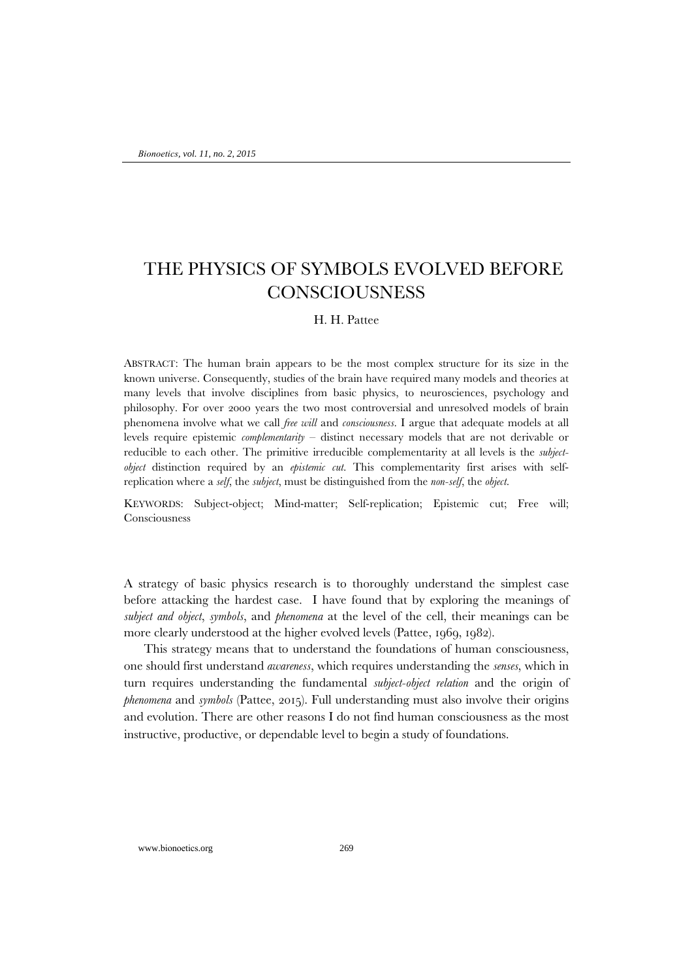# THE PHYSICS OF SYMBOLS EVOLVED BEFORE **CONSCIOUSNESS**

## H. H. Pattee

ABSTRACT: The human brain appears to be the most complex structure for its size in the known universe. Consequently, studies of the brain have required many models and theories at many levels that involve disciplines from basic physics, to neurosciences, psychology and philosophy. For over 2000 years the two most controversial and unresolved models of brain phenomena involve what we call *free will* and *consciousness*. I argue that adequate models at all levels require epistemic *complementarity* – distinct necessary models that are not derivable or reducible to each other. The primitive irreducible complementarity at all levels is the *subjectobject* distinction required by an *epistemic cut*. This complementarity first arises with selfreplication where a *self*, the *subject*, must be distinguished from the *non-self*, the *object*.

KEYWORDS: Subject-object; Mind-matter; Self-replication; Epistemic cut; Free will; Consciousness

A strategy of basic physics research is to thoroughly understand the simplest case before attacking the hardest case. I have found that by exploring the meanings of *subject and object*, *symbols*, and *phenomena* at the level of the cell, their meanings can be more clearly understood at the higher evolved levels (Pattee, 1969, 1982).

This strategy means that to understand the foundations of human consciousness, one should first understand *awareness*, which requires understanding the *senses*, which in turn requires understanding the fundamental *subject-object relation* and the origin of *phenomena* and *symbols* (Pattee, 2015). Full understanding must also involve their origins and evolution. There are other reasons I do not find human consciousness as the most instructive, productive, or dependable level to begin a study of foundations.

www.bionoetics.org 269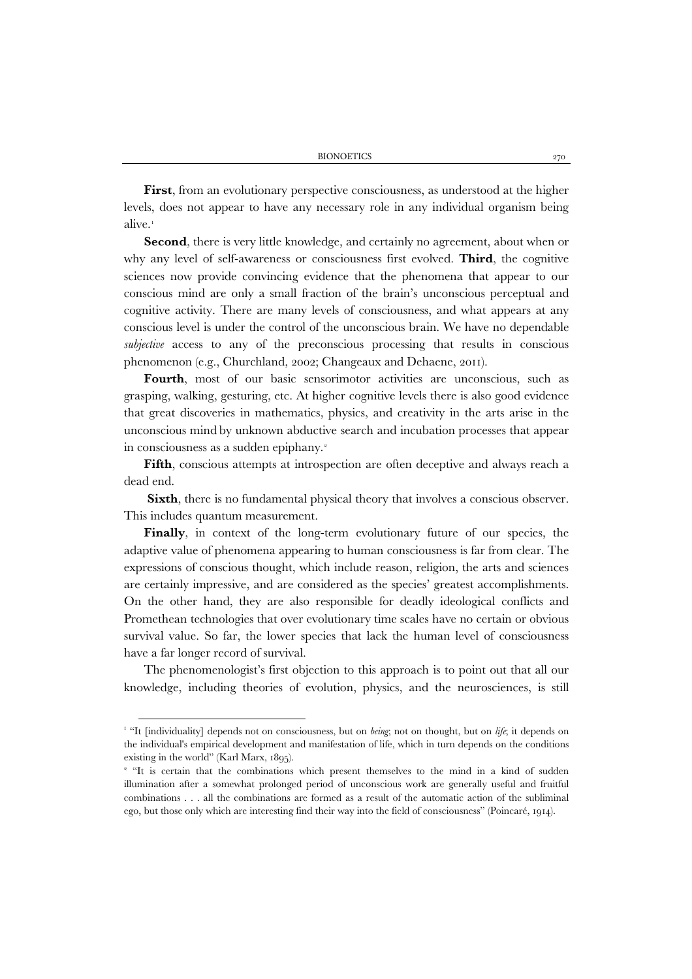**First**, from an evolutionary perspective consciousness, as understood at the higher levels, does not appear to have any necessary role in any individual organism being alive.<sup>[1](#page-1-0)</sup>

**Second**, there is very little knowledge, and certainly no agreement, about when or why any level of self-awareness or consciousness first evolved. **Third**, the cognitive sciences now provide convincing evidence that the phenomena that appear to our conscious mind are only a small fraction of the brain's unconscious perceptual and cognitive activity. There are many levels of consciousness, and what appears at any conscious level is under the control of the unconscious brain. We have no dependable *subjective* access to any of the preconscious processing that results in conscious phenomenon (e.g., Churchland, 2002; Changeaux and Dehaene, 2011).

Fourth, most of our basic sensorimotor activities are unconscious, such as grasping, walking, gesturing, etc. At higher cognitive levels there is also good evidence that great discoveries in mathematics, physics, and creativity in the arts arise in the unconscious mind by unknown abductive search and incubation processes that appear in consciousness as a sudden epiphany.<sup>[2](#page-1-1)</sup>

**Fifth**, conscious attempts at introspection are often deceptive and always reach a dead end.

**Sixth**, there is no fundamental physical theory that involves a conscious observer. This includes quantum measurement.

**Finally**, in context of the long-term evolutionary future of our species, the adaptive value of phenomena appearing to human consciousness is far from clear. The expressions of conscious thought, which include reason, religion, the arts and sciences are certainly impressive, and are considered as the species' greatest accomplishments. On the other hand, they are also responsible for deadly ideological conflicts and Promethean technologies that over evolutionary time scales have no certain or obvious survival value. So far, the lower species that lack the human level of consciousness have a far longer record of survival.

The phenomenologist's first objection to this approach is to point out that all our knowledge, including theories of evolution, physics, and the neurosciences, is still

<span id="page-1-0"></span><sup>&</sup>lt;sup>1</sup> "It [individuality] depends not on consciousness, but on *being*; not on thought, but on *life*; it depends on the individual's empirical development and manifestation of life, which in turn depends on the conditions existing in the world" (Karl Marx, 1895).

<span id="page-1-1"></span><sup>&</sup>lt;sup>2</sup> "It is certain that the combinations which present themselves to the mind in a kind of sudden illumination after a somewhat prolonged period of unconscious work are generally useful and fruitful combinations . . . all the combinations are formed as a result of the automatic action of the subliminal ego, but those only which are interesting find their way into the field of consciousness" (Poincaré, 1914).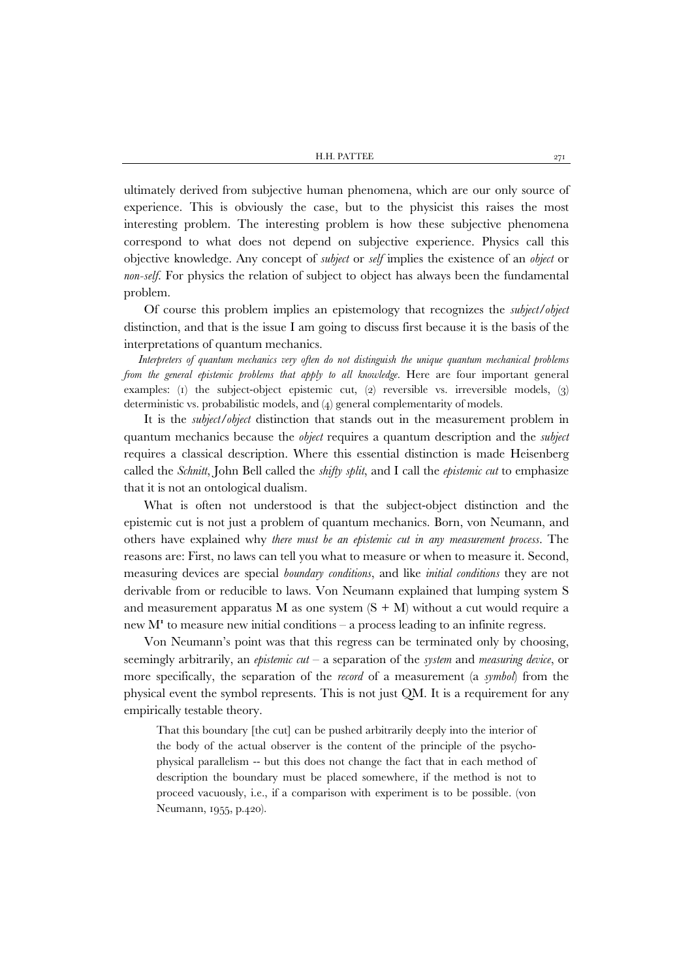H.H. PATTEE 271

ultimately derived from subjective human phenomena, which are our only source of experience. This is obviously the case, but to the physicist this raises the most interesting problem. The interesting problem is how these subjective phenomena correspond to what does not depend on subjective experience. Physics call this objective knowledge. Any concept of *subject* or *self* implies the existence of an *object* or *non-self*. For physics the relation of subject to object has always been the fundamental problem.

Of course this problem implies an epistemology that recognizes the *subject/object* distinction, and that is the issue I am going to discuss first because it is the basis of the interpretations of quantum mechanics.

*Interpreters of quantum mechanics very often do not distinguish the unique quantum mechanical problems from the general epistemic problems that apply to all knowledge.* Here are four important general examples: (1) the subject-object epistemic cut, (2) reversible vs. irreversible models, (3) deterministic vs. probabilistic models, and (4) general complementarity of models.

It is the *subject/object* distinction that stands out in the measurement problem in quantum mechanics because the *object* requires a quantum description and the *subject* requires a classical description. Where this essential distinction is made Heisenberg called the *Schnitt*, John Bell called the *shifty split*, and I call the *epistemic cut* to emphasize that it is not an ontological dualism.

What is often not understood is that the subject-object distinction and the epistemic cut is not just a problem of quantum mechanics. Born, von Neumann, and others have explained why *there must be an epistemic cut in any measurement process*. The reasons are: First, no laws can tell you what to measure or when to measure it. Second, measuring devices are special *boundary conditions*, and like *initial conditions* they are not derivable from or reducible to laws. Von Neumann explained that lumping system S and measurement apparatus M as one system  $(S + M)$  without a cut would require a new  $M<sup>r</sup>$  to measure new initial conditions – a process leading to an infinite regress.

Von Neumann's point was that this regress can be terminated only by choosing, seemingly arbitrarily, an *epistemic cut* – a separation of the *system* and *measuring device*, or more specifically, the separation of the *record* of a measurement (a *symbol*) from the physical event the symbol represents. This is not just QM. It is a requirement for any empirically testable theory.

That this boundary [the cut] can be pushed arbitrarily deeply into the interior of the body of the actual observer is the content of the principle of the psychophysical parallelism -- but this does not change the fact that in each method of description the boundary must be placed somewhere, if the method is not to proceed vacuously, i.e., if a comparison with experiment is to be possible. (von Neumann, 1955, p.420).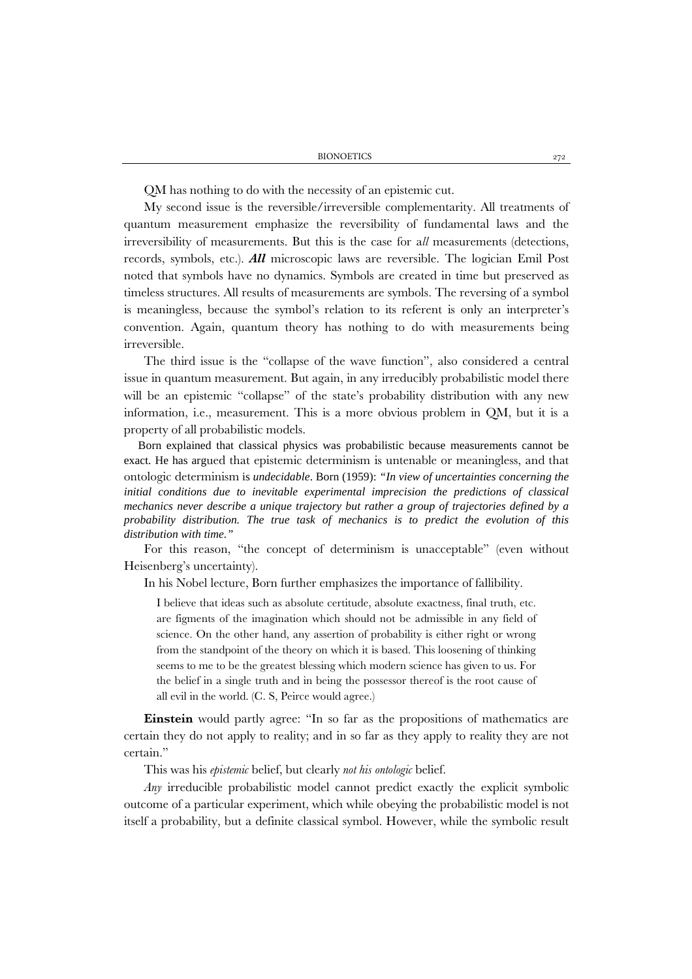BIONOETICS 272

QM has nothing to do with the necessity of an epistemic cut.

My second issue is the reversible/irreversible complementarity. All treatments of quantum measurement emphasize the reversibility of fundamental laws and the irreversibility of measurements. But this is the case for a*ll* measurements (detections, records, symbols, etc.). *All* microscopic laws are reversible. The logician Emil Post noted that symbols have no dynamics. Symbols are created in time but preserved as timeless structures. All results of measurements are symbols. The reversing of a symbol is meaningless, because the symbol's relation to its referent is only an interpreter's convention. Again, quantum theory has nothing to do with measurements being irreversible.

The third issue is the "collapse of the wave function", also considered a central issue in quantum measurement. But again, in any irreducibly probabilistic model there will be an epistemic "collapse" of the state's probability distribution with any new information, i.e., measurement. This is a more obvious problem in QM, but it is a property of all probabilistic models.

Born explained that classical physics was probabilistic because measurements cannot be exact. He has argued that epistemic determinism is untenable or meaningless, and that ontologic determinism is *undecidable*. Born (1959): *"In view of uncertainties concerning the initial conditions due to inevitable experimental imprecision the predictions of classical mechanics never describe a unique trajectory but rather a group of trajectories defined by a probability distribution. The true task of mechanics is to predict the evolution of this distribution with time."*

For this reason, "the concept of determinism is unacceptable" (even without Heisenberg's uncertainty).

In his Nobel lecture, Born further emphasizes the importance of fallibility.

I believe that ideas such as absolute certitude, absolute exactness, final truth, etc. are figments of the imagination which should not be admissible in any field of science. On the other hand, any assertion of probability is either right or wrong from the standpoint of the theory on which it is based. This loosening of thinking seems to me to be the greatest blessing which modern science has given to us. For the belief in a single truth and in being the possessor thereof is the root cause of all evil in the world. (C. S, Peirce would agree.)

**Einstein** would partly agree: "In so far as the propositions of mathematics are certain they do not apply to reality; and in so far as they apply to reality they are not certain."

This was his *epistemic* belief, but clearly *not his ontologic* belief.

*Any* irreducible probabilistic model cannot predict exactly the explicit symbolic outcome of a particular experiment, which while obeying the probabilistic model is not itself a probability, but a definite classical symbol. However, while the symbolic result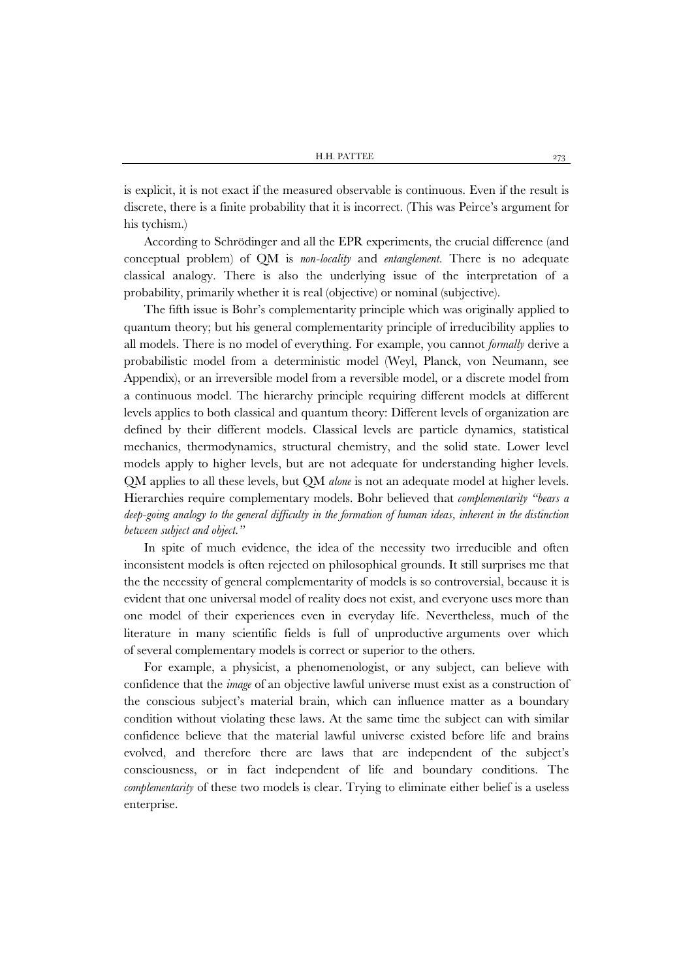is explicit, it is not exact if the measured observable is continuous. Even if the result is discrete, there is a finite probability that it is incorrect. (This was Peirce's argument for his tychism.)

According to Schrödinger and all the EPR experiments, the crucial difference (and conceptual problem) of QM is *non-locality* and *entanglement*. There is no adequate classical analogy. There is also the underlying issue of the interpretation of a probability, primarily whether it is real (objective) or nominal (subjective).

The fifth issue is Bohr's complementarity principle which was originally applied to quantum theory; but his general complementarity principle of irreducibility applies to all models. There is no model of everything. For example, you cannot *formally* derive a probabilistic model from a deterministic model (Weyl, Planck, von Neumann, see Appendix), or an irreversible model from a reversible model, or a discrete model from a continuous model. The hierarchy principle requiring different models at different levels applies to both classical and quantum theory: Different levels of organization are defined by their different models. Classical levels are particle dynamics, statistical mechanics, thermodynamics, structural chemistry, and the solid state. Lower level models apply to higher levels, but are not adequate for understanding higher levels. QM applies to all these levels, but QM *alone* is not an adequate model at higher levels. Hierarchies require complementary models. Bohr believed that *complementarity "bears a deep-going analogy to the general difficulty in the formation of human ideas, inherent in the distinction between subject and object."*

In spite of much evidence, the idea of the necessity two irreducible and often inconsistent models is often rejected on philosophical grounds. It still surprises me that the the necessity of general complementarity of models is so controversial, because it is evident that one universal model of reality does not exist, and everyone uses more than one model of their experiences even in everyday life. Nevertheless, much of the literature in many scientific fields is full of unproductive arguments over which of several complementary models is correct or superior to the others.

For example, a physicist, a phenomenologist, or any subject, can believe with confidence that the *image* of an objective lawful universe must exist as a construction of the conscious subject's material brain, which can influence matter as a boundary condition without violating these laws. At the same time the subject can with similar confidence believe that the material lawful universe existed before life and brains evolved, and therefore there are laws that are independent of the subject's consciousness, or in fact independent of life and boundary conditions. The *complementarity* of these two models is clear. Trying to eliminate either belief is a useless enterprise.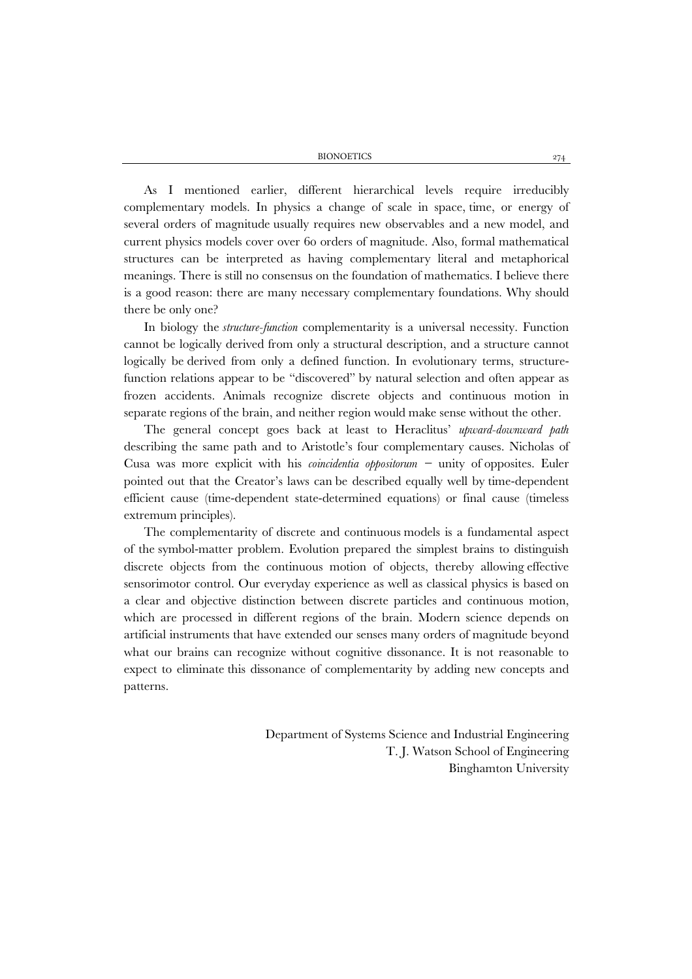BIONOETICS 274

As I mentioned earlier, different hierarchical levels require irreducibly complementary models. In physics a change of scale in space, time, or energy of several orders of magnitude usually requires new observables and a new model, and current physics models cover over 60 orders of magnitude. Also, formal mathematical structures can be interpreted as having complementary literal and metaphorical meanings. There is still no consensus on the foundation of mathematics. I believe there is a good reason: there are many necessary complementary foundations. Why should there be only one?

In biology the *structure-function* complementarity is a universal necessity. Function cannot be logically derived from only a structural description, and a structure cannot logically be derived from only a defined function. In evolutionary terms, structurefunction relations appear to be "discovered" by natural selection and often appear as frozen accidents. Animals recognize discrete objects and continuous motion in separate regions of the brain, and neither region would make sense without the other.

The general concept goes back at least to Heraclitus' *upward-downward path* describing the same path and to Aristotle's four complementary causes. Nicholas of Cusa was more explicit with his *coincidentia oppositorum −* unity of opposites. Euler pointed out that the Creator's laws can be described equally well by time-dependent efficient cause (time-dependent state-determined equations) or final cause (timeless extremum principles).

The complementarity of discrete and continuous models is a fundamental aspect of the symbol-matter problem. Evolution prepared the simplest brains to distinguish discrete objects from the continuous motion of objects, thereby allowing effective sensorimotor control. Our everyday experience as well as classical physics is based on a clear and objective distinction between discrete particles and continuous motion, which are processed in different regions of the brain. Modern science depends on artificial instruments that have extended our senses many orders of magnitude beyond what our brains can recognize without cognitive dissonance. It is not reasonable to expect to eliminate this dissonance of complementarity by adding new concepts and patterns.

> Department of Systems Science and Industrial Engineering T. J. Watson School of Engineering Binghamton University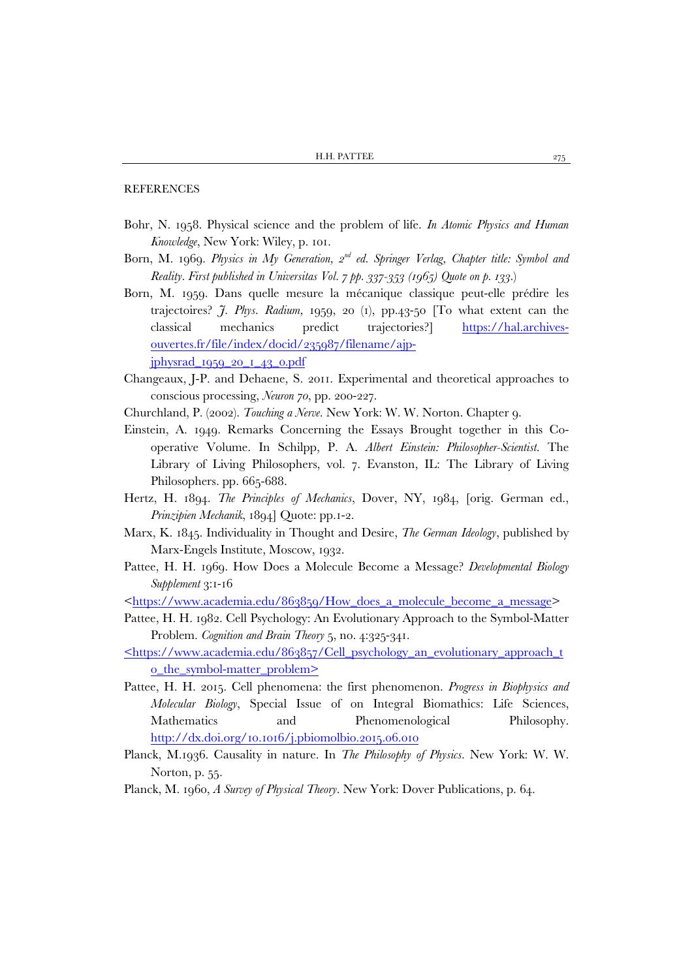### **REFERENCES**

- Bohr, N. 1958. Physical science and the problem of life. *In Atomic Physics and Human Knowledge*, New York: Wiley, p. 101.
- Born, M. 1969. *Physics in My Generation, 2nd ed. Springer Verlag, Chapter title: Symbol and Reality. First published in Universitas Vol. 7 pp. 337-353 (1965) Quote on p. 133.*)
- Born, M. 1959. Dans quelle mesure la mécanique classique peut-elle prédire les trajectoires? *J. Phys. Radium,* 1959, 20 (1), pp.43-50 [To what extent can the classical mechanics predict trajectories?] [https://hal.archives](https://hal.archives-ouvertes.fr/file/index/docid/235987/filename/ajp-jphysrad_1959_20_1_43_0.pdf)[ouvertes.fr/file/index/docid/235987/filename/ajp](https://hal.archives-ouvertes.fr/file/index/docid/235987/filename/ajp-jphysrad_1959_20_1_43_0.pdf)[jphysrad\\_1959\\_20\\_1\\_43\\_0.pdf](https://hal.archives-ouvertes.fr/file/index/docid/235987/filename/ajp-jphysrad_1959_20_1_43_0.pdf)
- Changeaux, J-P. and Dehaene, S. 2011. Experimental and theoretical approaches to conscious processing, *Neuron 70*, pp. 200-227.
- Churchland, P. (2002). *Touching a Nerve*. New York: W. W. Norton. Chapter 9.
- Einstein, A. 1949. Remarks Concerning the Essays Brought together in this Cooperative Volume. In Schilpp, P. A. *Albert Einstein: Philosopher-Scientist*. The Library of Living Philosophers, vol. 7. Evanston, IL: The Library of Living Philosophers. pp. 665-688.
- Hertz, H. 1894. *The Principles of Mechanics*, Dover, NY, 1984, [orig. German ed., *Prinzipien Mechanik*, 1894] Quote: pp.1-2.
- Marx, K. 1845. Individuality in Thought and Desire, *The German Ideology*, published by Marx-Engels Institute, Moscow, 1932.
- Pattee, H. H. 1969. How Does a Molecule Become a Message? *Developmental Biology Supplement* 3:1-16

[<https://www.academia.edu/863859/How\\_does\\_a\\_molecule\\_become\\_a\\_message>](https://www.academia.edu/863859/How_does_a_molecule_become_a_message)

- Pattee, H. H. 1982. Cell Psychology: An Evolutionary Approach to the Symbol-Matter Problem. *Cognition and Brain Theory* 5, no. 4:325-341.
- [<https://www.academia.edu/863857/Cell\\_psychology\\_an\\_evolutionary\\_approach\\_t](https://www.academia.edu/863857/Cell_psychology_an_evolutionary_approach_to_the_symbol-matter_problem) [o\\_the\\_symbol-matter\\_problem>](https://www.academia.edu/863857/Cell_psychology_an_evolutionary_approach_to_the_symbol-matter_problem)
- Pattee, H. H. 2015. Cell phenomena: the first phenomenon. *Progress in Biophysics and Molecular Biology*, Special Issue of on Integral Biomathics: Life Sciences, Mathematics and Phenomenological Philosophy. <http://dx.doi.org/10.1016/j.pbiomolbio.2015.06.010>
- Planck, M.1936. Causality in nature. In *The Philosophy of Physics.* New York: W. W. Norton, p. 55.
- Planck, M. 1960, *A Survey of Physical Theory*. New York: Dover Publications, p. 64.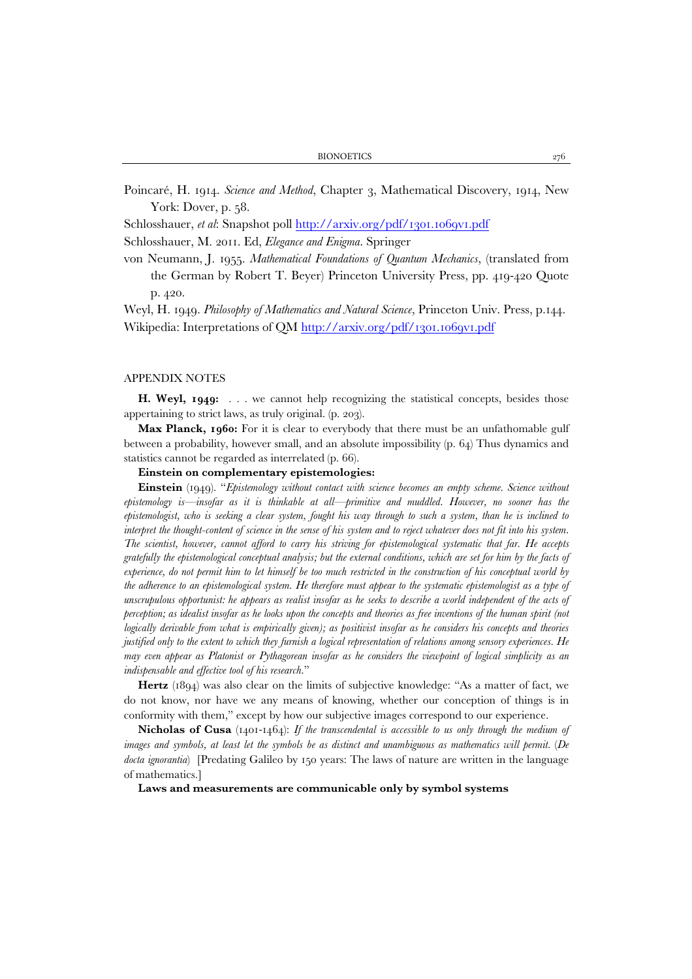Poincaré, H. 1914. *Science and Method*, Chapter 3, Mathematical Discovery, 1914, New York: Dover, p. 58.

Schlosshauer, *et al*: Snapshot poll<http://arxiv.org/pdf/1301.1069v1.pdf>

Schlosshauer, M. 2011. Ed, *Elegance and Enigma*. Springer

von Neumann, J. 1955. *Mathematical Foundations of Quantum Mechanics*, (translated from the German by Robert T. Beyer) Princeton University Press, pp. 419-420 Quote p. 420.

Weyl, H. 1949. *Philosophy of Mathematics and Natural Science*, Princeton Univ. Press, p.144. Wikipedia: Interpretations of QM<http://arxiv.org/pdf/1301.1069v1.pdf>

#### APPENDIX NOTES

H. Weyl, 1949: . . . we cannot help recognizing the statistical concepts, besides those appertaining to strict laws, as truly original. (p. 203).

**Max Planck, 1960:** For it is clear to everybody that there must be an unfathomable gulf between a probability, however small, and an absolute impossibility (p. 64) Thus dynamics and statistics cannot be regarded as interrelated (p. 66).

#### **Einstein on complementary epistemologies:**

**Einstein** (1949). "*Epistemology without contact with science becomes an empty scheme. Science without epistemology is—insofar as it is thinkable at all—primitive and muddled. However, no sooner has the epistemologist, who is seeking a clear system, fought his way through to such a system, than he is inclined to interpret the thought-content of science in the sense of his system and to reject whatever does not fit into his system. The scientist, however, cannot afford to carry his striving for epistemological systematic that far. He accepts gratefully the epistemological conceptual analysis; but the external conditions, which are set for him by the facts of experience, do not permit him to let himself be too much restricted in the construction of his conceptual world by the adherence to an epistemological system. He therefore must appear to the systematic epistemologist as a type of unscrupulous opportunist: he appears as realist insofar as he seeks to describe a world independent of the acts of perception; as idealist insofar as he looks upon the concepts and theories as free inventions of the human spirit (not logically derivable from what is empirically given); as positivist insofar as he considers his concepts and theories justified only to the extent to which they furnish a logical representation of relations among sensory experiences. He may even appear as Platonist or Pythagorean insofar as he considers the viewpoint of logical simplicity as an indispensable and effective tool of his research*."

**Hertz** (1894) was also clear on the limits of subjective knowledge: "As a matter of fact, we do not know, nor have we any means of knowing, whether our conception of things is in conformity with them," except by how our subjective images correspond to our experience.

**Nicholas of Cusa** (1401-1464): *If the transcendental is accessible to us only through the medium of images and symbols, at least let the symbols be as distinct and unambiguous as mathematics will permit.* (*De docta ignorantia*) [Predating Galileo by 150 years: The laws of nature are written in the language of mathematics.]

**Laws and measurements are communicable only by symbol systems**